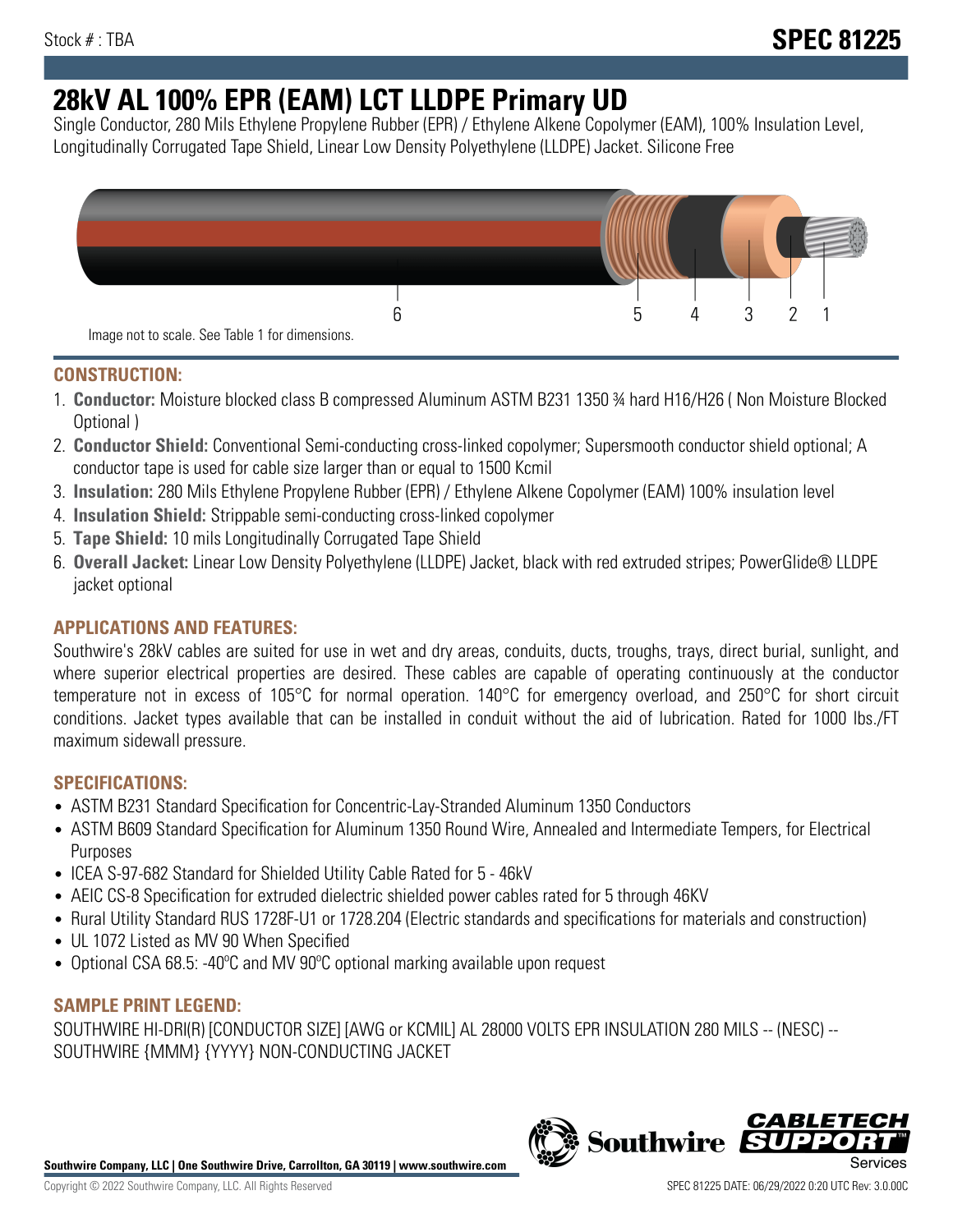# **28kV AL 100% EPR (EAM) LCT LLDPE Primary UD**

Single Conductor, 280 Mils Ethylene Propylene Rubber (EPR) / Ethylene Alkene Copolymer (EAM), 100% Insulation Level, Longitudinally Corrugated Tape Shield, Linear Low Density Polyethylene (LLDPE) Jacket. Silicone Free



## **CONSTRUCTION:**

- 1. **Conductor:** Moisture blocked class B compressed Aluminum ASTM B231 1350 ¾ hard H16/H26 ( Non Moisture Blocked Optional )
- 2. **Conductor Shield:** Conventional Semi-conducting cross-linked copolymer; Supersmooth conductor shield optional; A conductor tape is used for cable size larger than or equal to 1500 Kcmil
- 3. **Insulation:** 280 Mils Ethylene Propylene Rubber (EPR) / Ethylene Alkene Copolymer (EAM) 100% insulation level
- 4. **Insulation Shield:** Strippable semi-conducting cross-linked copolymer
- 5. **Tape Shield:** 10 mils Longitudinally Corrugated Tape Shield
- 6. **Overall Jacket:** Linear Low Density Polyethylene (LLDPE) Jacket, black with red extruded stripes; PowerGlide® LLDPE jacket optional

# **APPLICATIONS AND FEATURES:**

Southwire's 28kV cables are suited for use in wet and dry areas, conduits, ducts, troughs, trays, direct burial, sunlight, and where superior electrical properties are desired. These cables are capable of operating continuously at the conductor temperature not in excess of 105°C for normal operation. 140°C for emergency overload, and 250°C for short circuit conditions. Jacket types available that can be installed in conduit without the aid of lubrication. Rated for 1000 lbs./FT maximum sidewall pressure.

## **SPECIFICATIONS:**

- ASTM B231 Standard Specification for Concentric-Lay-Stranded Aluminum 1350 Conductors
- ASTM B609 Standard Specification for Aluminum 1350 Round Wire, Annealed and Intermediate Tempers, for Electrical Purposes
- ICEA S-97-682 Standard for Shielded Utility Cable Rated for 5 46kV
- AEIC CS-8 Specification for extruded dielectric shielded power cables rated for 5 through 46KV
- Rural Utility Standard RUS 1728F-U1 or 1728.204 (Electric standards and specifications for materials and construction)
- UL 1072 Listed as MV 90 When Specified
- Optional CSA 68.5: -40ºC and MV 90ºC optional marking available upon request

## **SAMPLE PRINT LEGEND:**

SOUTHWIRE HI-DRI(R) [CONDUCTOR SIZE] [AWG or KCMIL] AL 28000 VOLTS EPR INSULATION 280 MILS -- (NESC) -- SOUTHWIRE {MMM} {YYYY} NON-CONDUCTING JACKET



**Southwire** 

CABLE1